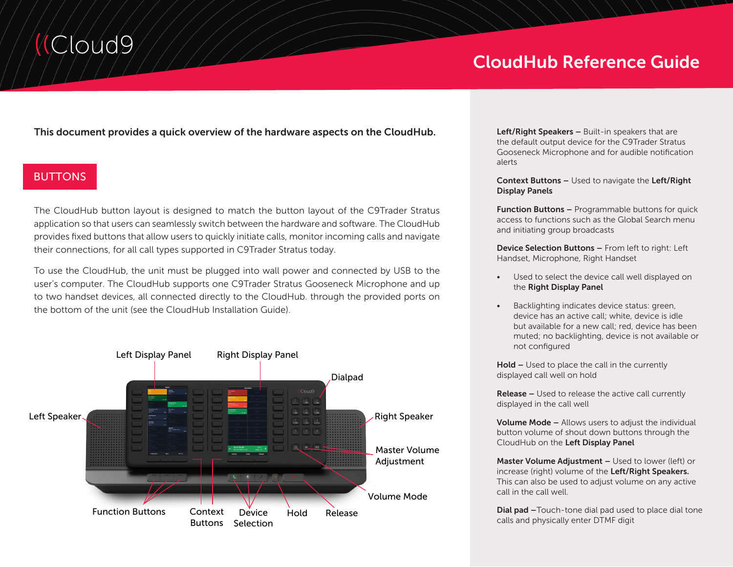# Cloud9

# CloudHub Reference Guide

This document provides a quick overview of the hardware aspects on the CloudHub.

## BUTTONS

The CloudHub button layout is designed to match the button layout of the C9Trader Stratus application so that users can seamlessly switch between the hardware and software. The CloudHub provides fixed buttons that allow users to quickly initiate calls, monitor incoming calls and navigate their connections, for all call types supported in C9Trader Stratus today.

To use the CloudHub, the unit must be plugged into wall power and connected by USB to the user's computer. The CloudHub supports one C9Trader Stratus Gooseneck Microphone and up to two handset devices, all connected directly to the CloudHub. through the provided ports on the bottom of the unit (see the CloudHub Installation Guide).



Left/Right Speakers - Built-in speakers that are the default output device for the C9Trader Stratus Gooseneck Microphone and for audible notification alerts

Context Buttons – Used to navigate the Left/Right Display Panels

**Function Buttons –** Programmable buttons for quick access to functions such as the Global Search menu and initiating group broadcasts

Device Selection Buttons – From left to right: Left Handset, Microphone, Right Handset

- Used to select the device call well displayed on the Right Display Panel
- Backlighting indicates device status: green, device has an active call; white, device is idle but available for a new call; red, device has been muted; no backlighting, device is not available or not configured

Hold – Used to place the call in the currently displayed call well on hold

Release – Used to release the active call currently displayed in the call well

Volume Mode – Allows users to adjust the individual button volume of shout down buttons through the CloudHub on the Left Display Panel

Master Volume Adjustment – Used to lower (left) or increase (right) volume of the Left/Right Speakers. This can also be used to adjust volume on any active call in the call well.

Dial pad -Touch-tone dial pad used to place dial tone calls and physically enter DTMF digit